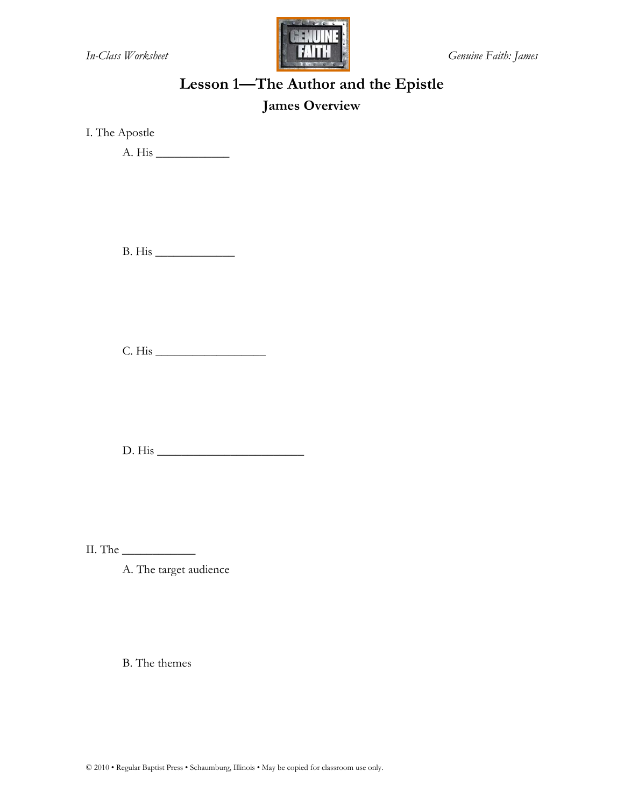

# **Lesson 1—The Author and the Epistle**

#### **James Overview**

I. The Apostle

A. His \_\_\_\_\_\_\_\_\_\_\_\_

B. His \_\_\_\_\_\_\_\_\_\_\_\_\_

C. His \_\_\_\_\_\_\_\_\_\_\_\_\_\_\_\_\_\_

D. His \_\_\_\_\_\_\_\_\_\_\_\_\_\_\_\_\_\_\_\_\_\_\_\_

II. The \_\_\_\_\_\_\_\_\_\_\_\_

A. The target audience

B. The themes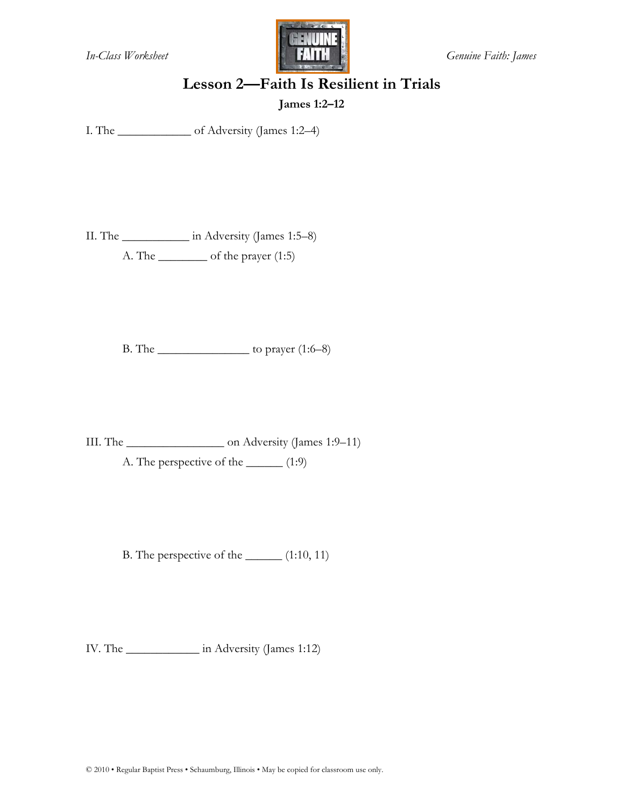

## **Lesson 2—Faith Is Resilient in Trials**

**James 1:2–12** 

I. The \_\_\_\_\_\_\_\_\_\_\_\_ of Adversity (James 1:2–4)

II. The \_\_\_\_\_\_\_\_\_\_\_ in Adversity (James 1:5–8) A. The \_\_\_\_\_\_\_\_ of the prayer (1:5)

B. The \_\_\_\_\_\_\_\_\_\_\_\_\_\_\_ to prayer (1:6–8)

III. The \_\_\_\_\_\_\_\_\_\_\_\_\_\_\_\_ on Adversity (James 1:9–11)

A. The perspective of the \_\_\_\_\_\_\_ (1:9)

B. The perspective of the  $\qquad$  (1:10, 11)

IV. The \_\_\_\_\_\_\_\_\_\_\_\_ in Adversity (James 1:12)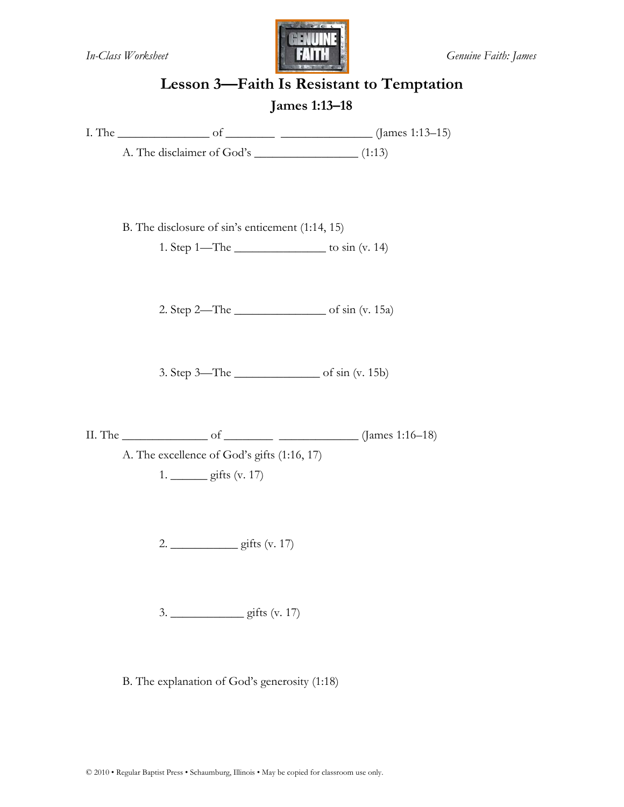

## **Lesson 3—Faith Is Resistant to Temptation James 1:13–18**

I. The \_\_\_\_\_\_\_\_\_\_\_\_\_\_\_ of \_\_\_\_\_\_\_\_ \_\_\_\_\_\_\_\_\_\_\_\_\_\_\_ (James 1:13–15)

A. The disclaimer of God's \_\_\_\_\_\_\_\_\_\_\_\_\_\_\_\_\_ (1:13)

B. The disclosure of sin's enticement (1:14, 15)

1. Step  $1 - The$  to  $sin (v. 14)$ 

2. Step  $2$ —The  $\qquad \qquad$  of sin (v. 15a)

3. Step 3—The \_\_\_\_\_\_\_\_\_\_\_\_\_\_ of sin (v. 15b)

II. The  $\frac{\text{II. The}}{\text{III.}}$  of  $\frac{\text{II. The}}{\text{III.}}$  (James 1:16–18)

A. The excellence of God's gifts (1:16, 17) 1. \_\_\_\_\_\_ gifts (v. 17)

2. \_\_\_\_\_\_\_\_\_\_\_ gifts (v. 17)

 $3.$  gifts  $(v. 17)$ 

B. The explanation of God's generosity (1:18)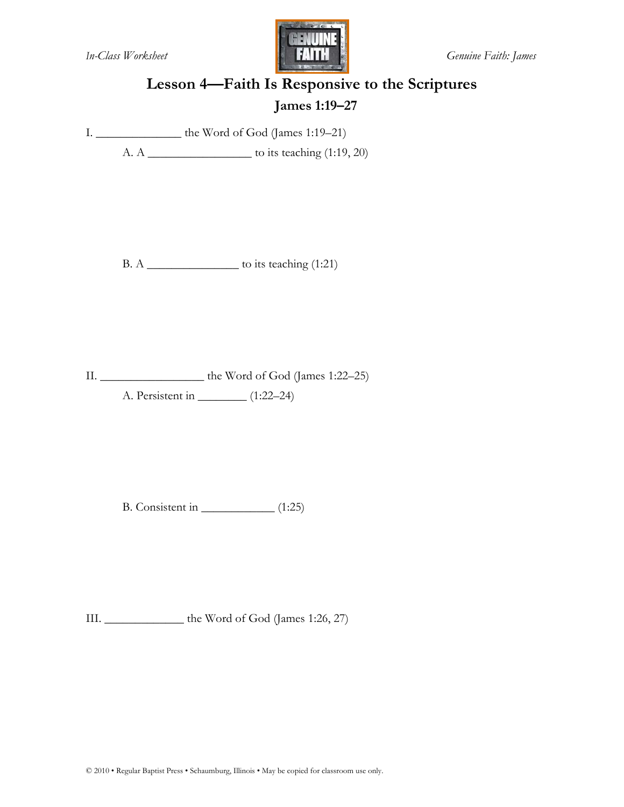

# **Lesson 4—Faith Is Responsive to the Scriptures James 1:19–27**

I. \_\_\_\_\_\_\_\_\_\_\_\_\_\_ the Word of God (James 1:19–21)

A. A \_\_\_\_\_\_\_\_\_\_\_\_\_\_\_\_\_ to its teaching (1:19, 20)

B. A  $\_\_\_\_\_\_\_\_\_\_\_\_\_\_\.\_$  to its teaching (1:21)

II. \_\_\_\_\_\_\_\_\_\_\_\_\_\_\_\_\_ the Word of God (James 1:22–25)

A. Persistent in \_\_\_\_\_\_\_\_ (1:22–24)

B. Consistent in \_\_\_\_\_\_\_\_\_\_\_\_ (1:25)

III. \_\_\_\_\_\_\_\_\_\_\_\_\_ the Word of God (James 1:26, 27)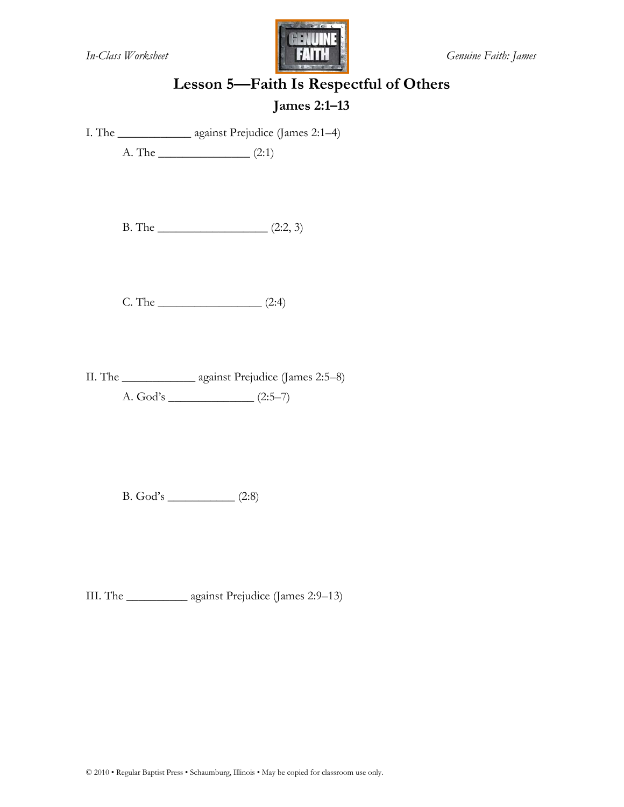

# **Lesson 5—Faith Is Respectful of Others**

#### **James 2:1–13**

I. The \_\_\_\_\_\_\_\_\_\_\_\_ against Prejudice (James 2:1–4)

A. The \_\_\_\_\_\_\_\_\_\_\_\_\_\_\_ (2:1)

 $B. The ________ (2:2, 3)$ 

 $C. The ________ (2:4)$ 

II. The \_\_\_\_\_\_\_\_\_\_\_\_ against Prejudice (James 2:5–8) A. God's \_\_\_\_\_\_\_\_\_\_\_\_\_\_ (2:5–7)

B. God's \_\_\_\_\_\_\_\_\_\_\_ (2:8)

III. The \_\_\_\_\_\_\_\_\_\_ against Prejudice (James 2:9–13)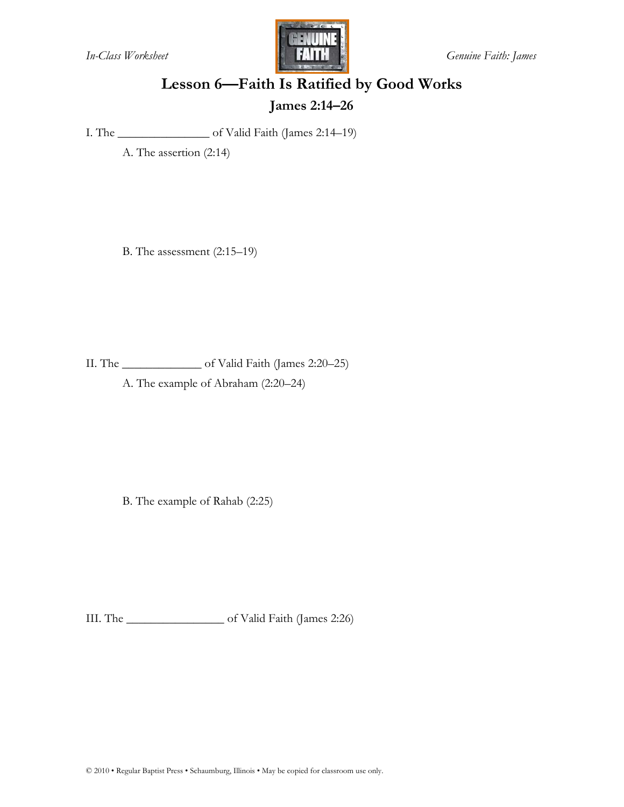

# **Lesson 6—Faith Is Ratified by Good Works James 2:14–26**

I. The \_\_\_\_\_\_\_\_\_\_\_\_\_\_\_ of Valid Faith (James 2:14–19)

A. The assertion (2:14)

B. The assessment (2:15–19)

II. The \_\_\_\_\_\_\_\_\_\_\_\_\_ of Valid Faith (James 2:20–25)

A. The example of Abraham (2:20–24)

B. The example of Rahab (2:25)

III. The \_\_\_\_\_\_\_\_\_\_\_\_\_\_\_\_ of Valid Faith (James 2:26)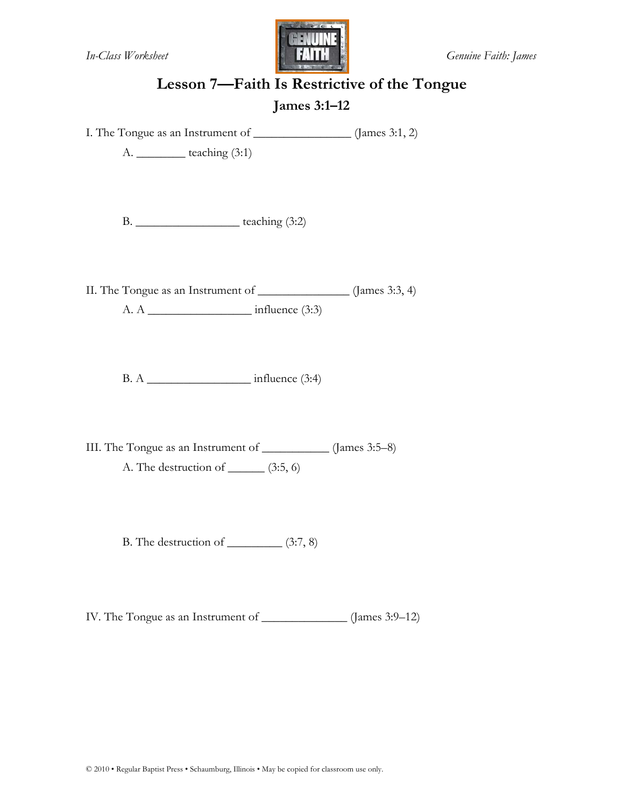

# **Lesson 7—Faith Is Restrictive of the Tongue**

#### **James 3:1–12**

I. The Tongue as an Instrument of \_\_\_\_\_\_\_\_\_\_\_\_\_\_\_\_ (James 3:1, 2)

A. \_\_\_\_\_\_\_\_ teaching (3:1)

B. \_\_\_\_\_\_\_\_\_\_\_\_\_\_\_\_\_ teaching (3:2)

II. The Tongue as an Instrument of \_\_\_\_\_\_\_\_\_\_\_\_\_\_\_ (James 3:3, 4)

A. A  $\qquad \qquad$  influence (3:3)

B. A \_\_\_\_\_\_\_\_\_\_\_\_\_\_\_\_\_ influence (3:4)

III. The Tongue as an Instrument of \_\_\_\_\_\_\_\_\_\_\_ (James 3:5–8) A. The destruction of  $\_\_\_\_\$ (3:5, 6)

B. The destruction of  $\_\_\_\_\_ (3:7, 8)$ 

IV. The Tongue as an Instrument of \_\_\_\_\_\_\_\_\_\_\_\_\_\_ (James 3:9–12)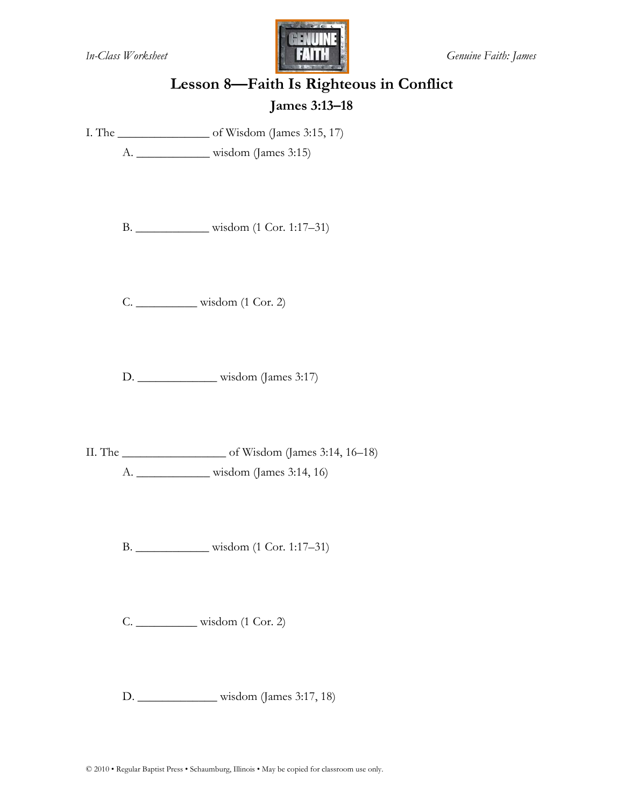

# **Lesson 8—Faith Is Righteous in Conflict James 3:13–18**

I. The \_\_\_\_\_\_\_\_\_\_\_\_\_\_\_ of Wisdom (James 3:15, 17)

A. \_\_\_\_\_\_\_\_\_\_\_\_ wisdom (James 3:15)

B. \_\_\_\_\_\_\_\_\_\_\_\_ wisdom (1 Cor. 1:17–31)

C. \_\_\_\_\_\_\_\_\_\_ wisdom (1 Cor. 2)

D. \_\_\_\_\_\_\_\_\_\_\_\_\_ wisdom (James 3:17)

II. The \_\_\_\_\_\_\_\_\_\_\_\_\_\_\_\_\_ of Wisdom (James 3:14, 16–18) A. \_\_\_\_\_\_\_\_\_\_\_\_ wisdom (James 3:14, 16)

B. \_\_\_\_\_\_\_\_\_\_\_\_ wisdom (1 Cor. 1:17–31)

C. \_\_\_\_\_\_\_\_\_\_ wisdom (1 Cor. 2)

D. \_\_\_\_\_\_\_\_\_\_\_\_\_ wisdom (James 3:17, 18)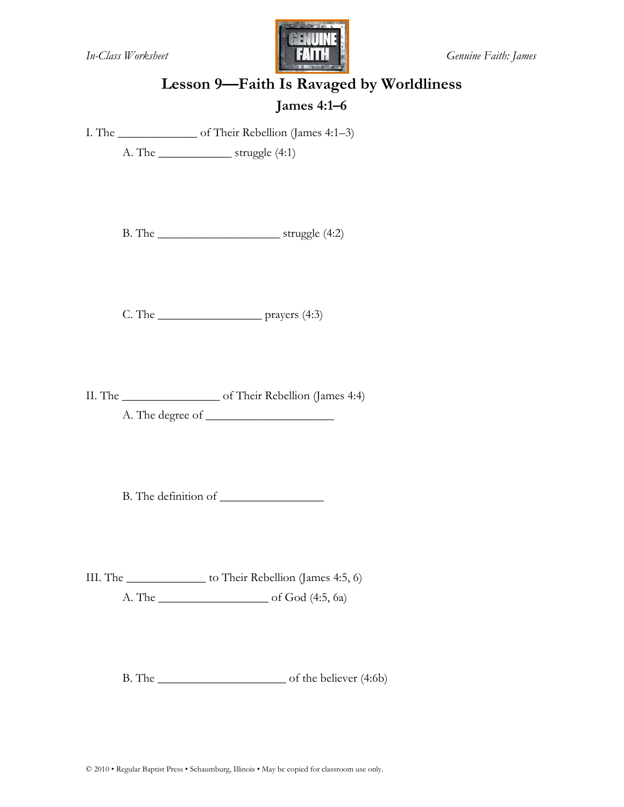

# **Lesson 9—Faith Is Ravaged by Worldliness**

#### **James 4:1–6**

I. The \_\_\_\_\_\_\_\_\_\_\_\_\_ of Their Rebellion (James 4:1–3)

A. The \_\_\_\_\_\_\_\_\_\_\_\_ struggle (4:1)

B. The \_\_\_\_\_\_\_\_\_\_\_\_\_\_\_\_\_\_\_\_ struggle (4:2)

C. The \_\_\_\_\_\_\_\_\_\_\_\_\_\_\_\_\_ prayers (4:3)

II. The \_\_\_\_\_\_\_\_\_\_\_\_\_\_\_\_ of Their Rebellion (James 4:4) A. The degree of \_\_\_\_\_\_\_\_\_\_\_\_\_\_\_\_\_\_\_\_\_

B. The definition of

III. The \_\_\_\_\_\_\_\_\_\_\_\_\_ to Their Rebellion (James 4:5, 6) A. The \_\_\_\_\_\_\_\_\_\_\_\_\_\_\_\_\_\_ of God (4:5, 6a)

B. The contract of the believer (4:6b)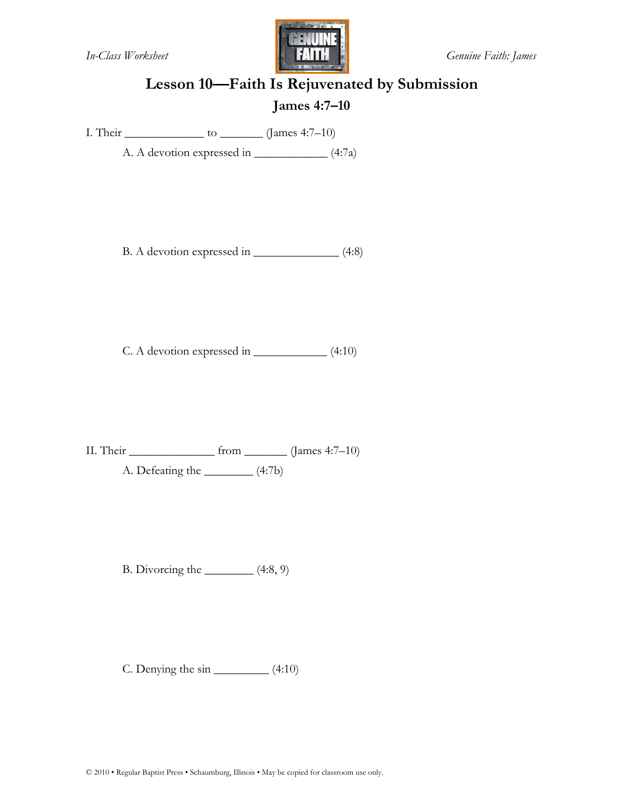

# **Lesson 10—Faith Is Rejuvenated by Submission James 4:7–10**

I. Their  $\frac{\log(4.7-10)}{\log(4.7-10)}$ 

A. A devotion expressed in \_\_\_\_\_\_\_\_\_\_\_\_\_\_ (4:7a)

B. A devotion expressed in \_\_\_\_\_\_\_\_\_\_\_\_\_\_\_\_\_ (4:8)

C. A devotion expressed in \_\_\_\_\_\_\_\_\_\_\_\_ (4:10)

II. Their  $\qquad \qquad$  from  $\qquad \qquad$  (James 4:7–10) A. Defeating the  $\qquad \qquad$  (4:7b)

B. Divorcing the  $\_\_\_\_\_$  $(4:8, 9)$ 

C. Denying the  $sin$  \_\_\_\_\_\_\_\_\_\_\_\_ (4:10)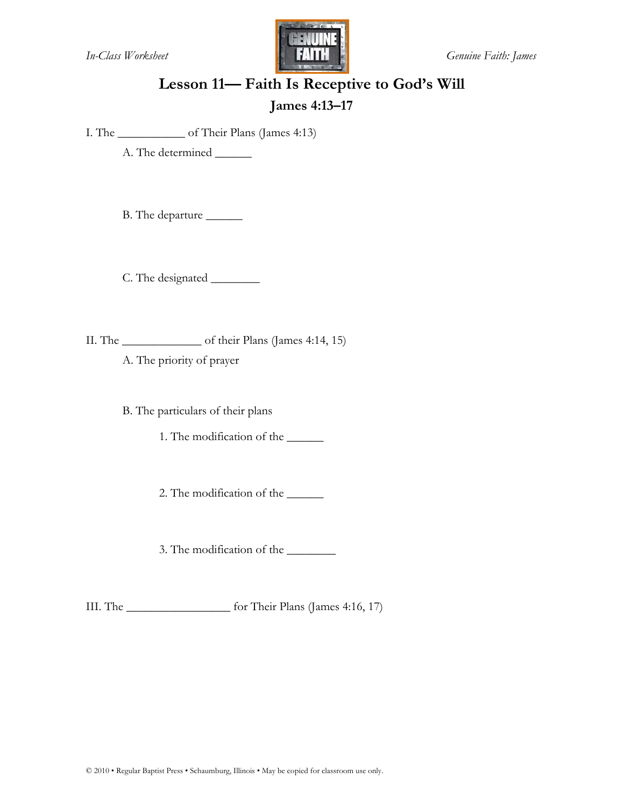

# **Lesson 11— Faith Is Receptive to God's Will James 4:13–17**

I. The \_\_\_\_\_\_\_\_\_\_\_ of Their Plans (James 4:13)

A. The determined \_\_\_\_\_\_

B. The departure \_\_\_\_\_\_

C. The designated \_\_\_\_\_\_\_\_

II. The \_\_\_\_\_\_\_\_\_\_\_\_\_ of their Plans (James 4:14, 15)

A. The priority of prayer

B. The particulars of their plans

1. The modification of the \_\_\_\_\_\_

2. The modification of the \_\_\_\_\_\_

3. The modification of the \_\_\_\_\_\_\_\_

III. The \_\_\_\_\_\_\_\_\_\_\_\_\_\_\_\_\_ for Their Plans (James 4:16, 17)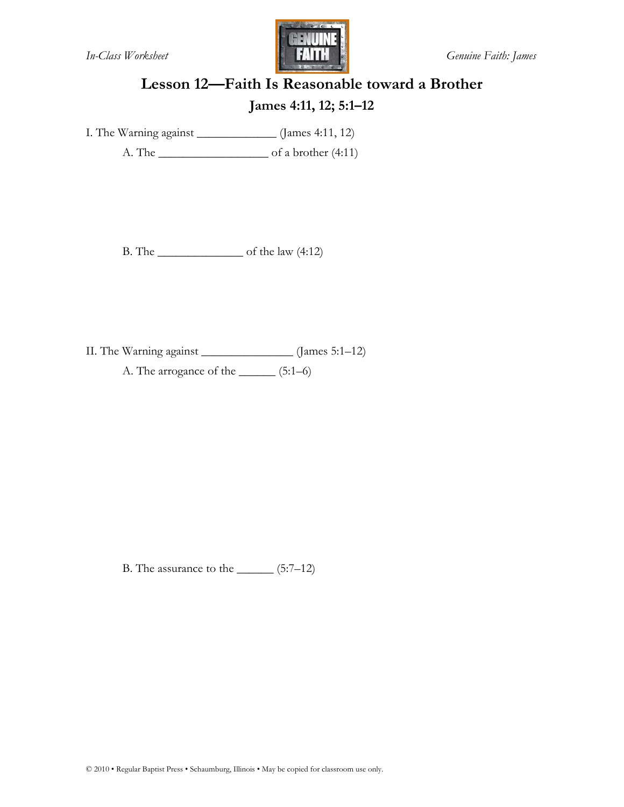

# **Lesson 12—Faith Is Reasonable toward a Brother James 4:11, 12; 5:1–12**

I. The Warning against \_\_\_\_\_\_\_\_\_\_\_\_\_ (James 4:11, 12)

A. The \_\_\_\_\_\_\_\_\_\_\_\_\_\_\_\_\_\_ of a brother (4:11)

B. The \_\_\_\_\_\_\_\_\_\_\_\_\_\_ of the law (4:12)

II. The Warning against \_\_\_\_\_\_\_\_\_\_\_\_\_\_\_ (James 5:1–12) A. The arrogance of the \_\_\_\_\_\_ (5:1–6)

B. The assurance to the  $\_\_\_\_\$  $(5:7-12)$